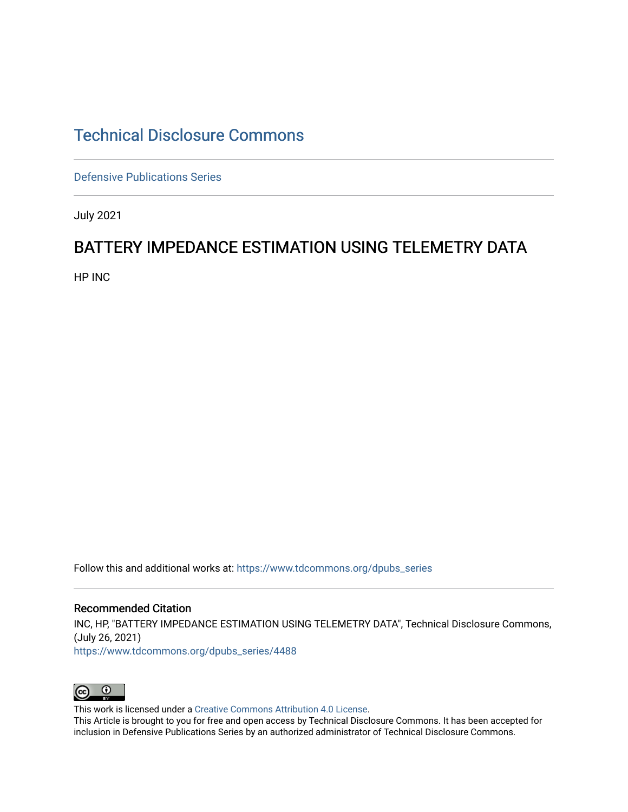## [Technical Disclosure Commons](https://www.tdcommons.org/)

[Defensive Publications Series](https://www.tdcommons.org/dpubs_series)

July 2021

## BATTERY IMPEDANCE ESTIMATION USING TELEMETRY DATA

HP INC

Follow this and additional works at: [https://www.tdcommons.org/dpubs\\_series](https://www.tdcommons.org/dpubs_series?utm_source=www.tdcommons.org%2Fdpubs_series%2F4488&utm_medium=PDF&utm_campaign=PDFCoverPages) 

Recommended Citation INC, HP, "BATTERY IMPEDANCE ESTIMATION USING TELEMETRY DATA", Technical Disclosure Commons, (July 26, 2021) [https://www.tdcommons.org/dpubs\\_series/4488](https://www.tdcommons.org/dpubs_series/4488?utm_source=www.tdcommons.org%2Fdpubs_series%2F4488&utm_medium=PDF&utm_campaign=PDFCoverPages)



This work is licensed under a [Creative Commons Attribution 4.0 License](http://creativecommons.org/licenses/by/4.0/deed.en_US).

This Article is brought to you for free and open access by Technical Disclosure Commons. It has been accepted for inclusion in Defensive Publications Series by an authorized administrator of Technical Disclosure Commons.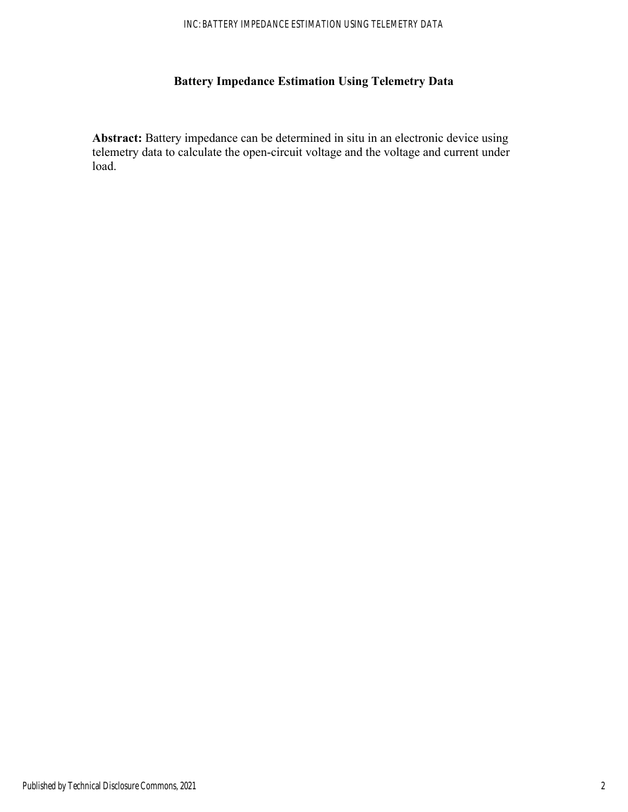## **Battery Impedance Estimation Using Telemetry Data**

**Abstract:** Battery impedance can be determined in situ in an electronic device using telemetry data to calculate the open-circuit voltage and the voltage and current under load.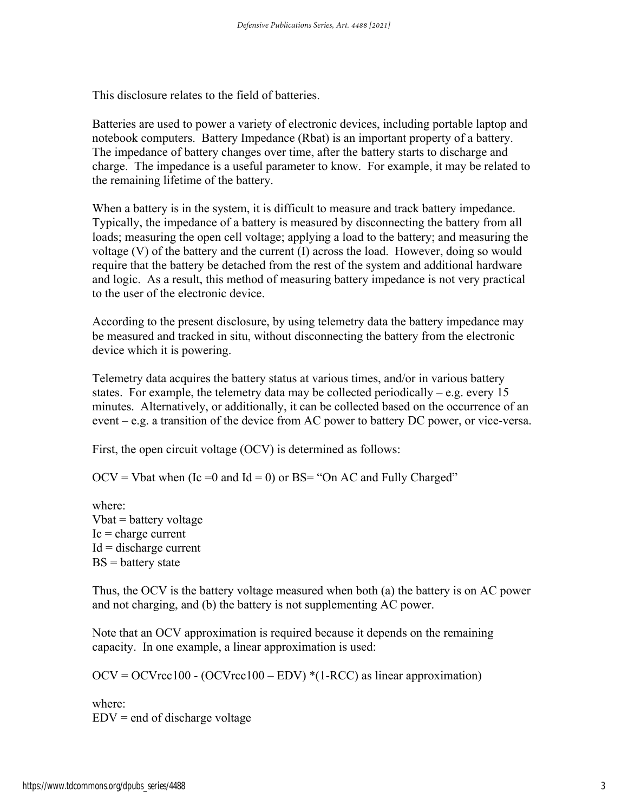This disclosure relates to the field of batteries.

Batteries are used to power a variety of electronic devices, including portable laptop and notebook computers. Battery Impedance (Rbat) is an important property of a battery. The impedance of battery changes over time, after the battery starts to discharge and charge. The impedance is a useful parameter to know. For example, it may be related to the remaining lifetime of the battery.

When a battery is in the system, it is difficult to measure and track battery impedance. Typically, the impedance of a battery is measured by disconnecting the battery from all loads; measuring the open cell voltage; applying a load to the battery; and measuring the voltage (V) of the battery and the current (I) across the load. However, doing so would require that the battery be detached from the rest of the system and additional hardware and logic. As a result, this method of measuring battery impedance is not very practical to the user of the electronic device.

According to the present disclosure, by using telemetry data the battery impedance may be measured and tracked in situ, without disconnecting the battery from the electronic device which it is powering.

Telemetry data acquires the battery status at various times, and/or in various battery states. For example, the telemetry data may be collected periodically – e.g. every 15 minutes. Alternatively, or additionally, it can be collected based on the occurrence of an event – e.g. a transition of the device from AC power to battery DC power, or vice-versa.

First, the open circuit voltage (OCV) is determined as follows:

 $OCV = V$  bat when (Ic = 0 and Id = 0) or BS = "On AC and Fully Charged"

where:  $Vbat = battery voltage$  $Ic = charge current$  $Id =$  discharge current  $BS = battery state$ 

Thus, the OCV is the battery voltage measured when both (a) the battery is on AC power and not charging, and (b) the battery is not supplementing AC power.

Note that an OCV approximation is required because it depends on the remaining capacity. In one example, a linear approximation is used:

 $OCV = OCV \r{r}c100 - (OCV \r{r}c100 - EDV)$ <sup>\*</sup>(1-RCC) as linear approximation)

where:  $EDV = end of discharge voltage$